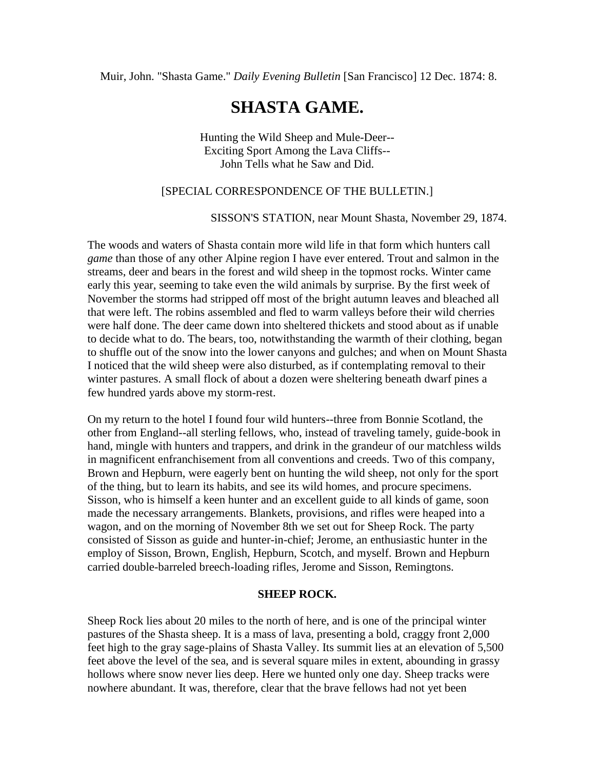Muir, John. "Shasta Game." *Daily Evening Bulletin* [San Francisco] 12 Dec. 1874: 8.

# **SHASTA GAME.**

Hunting the Wild Sheep and Mule-Deer-- Exciting Sport Among the Lava Cliffs-- John Tells what he Saw and Did.

## [SPECIAL CORRESPONDENCE OF THE BULLETIN.]

SISSON'S STATION, near Mount Shasta, November 29, 1874.

The woods and waters of Shasta contain more wild life in that form which hunters call *game* than those of any other Alpine region I have ever entered. Trout and salmon in the streams, deer and bears in the forest and wild sheep in the topmost rocks. Winter came early this year, seeming to take even the wild animals by surprise. By the first week of November the storms had stripped off most of the bright autumn leaves and bleached all that were left. The robins assembled and fled to warm valleys before their wild cherries were half done. The deer came down into sheltered thickets and stood about as if unable to decide what to do. The bears, too, notwithstanding the warmth of their clothing, began to shuffle out of the snow into the lower canyons and gulches; and when on Mount Shasta I noticed that the wild sheep were also disturbed, as if contemplating removal to their winter pastures. A small flock of about a dozen were sheltering beneath dwarf pines a few hundred yards above my storm-rest.

On my return to the hotel I found four wild hunters--three from Bonnie Scotland, the other from England--all sterling fellows, who, instead of traveling tamely, guide-book in hand, mingle with hunters and trappers, and drink in the grandeur of our matchless wilds in magnificent enfranchisement from all conventions and creeds. Two of this company, Brown and Hepburn, were eagerly bent on hunting the wild sheep, not only for the sport of the thing, but to learn its habits, and see its wild homes, and procure specimens. Sisson, who is himself a keen hunter and an excellent guide to all kinds of game, soon made the necessary arrangements. Blankets, provisions, and rifles were heaped into a wagon, and on the morning of November 8th we set out for Sheep Rock. The party consisted of Sisson as guide and hunter-in-chief; Jerome, an enthusiastic hunter in the employ of Sisson, Brown, English, Hepburn, Scotch, and myself. Brown and Hepburn carried double-barreled breech-loading rifles, Jerome and Sisson, Remingtons.

## **SHEEP ROCK.**

Sheep Rock lies about 20 miles to the north of here, and is one of the principal winter pastures of the Shasta sheep. It is a mass of lava, presenting a bold, craggy front 2,000 feet high to the gray sage-plains of Shasta Valley. Its summit lies at an elevation of 5,500 feet above the level of the sea, and is several square miles in extent, abounding in grassy hollows where snow never lies deep. Here we hunted only one day. Sheep tracks were nowhere abundant. It was, therefore, clear that the brave fellows had not yet been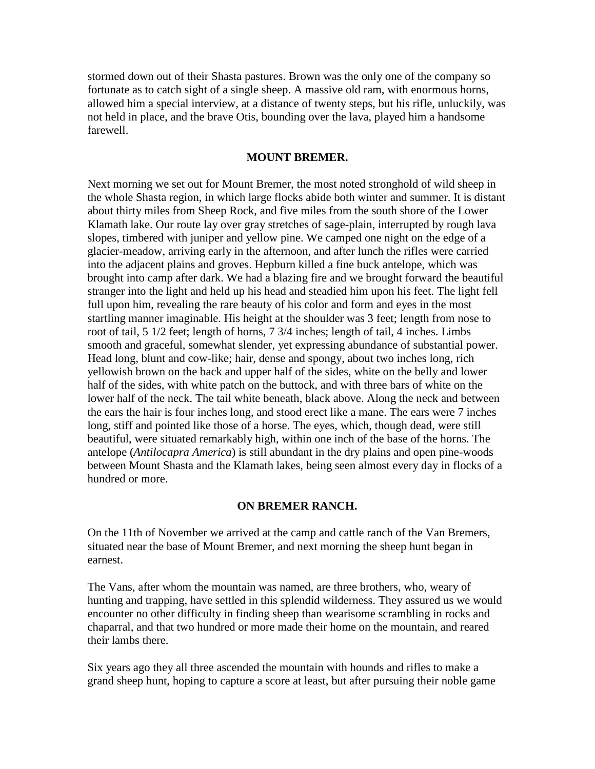stormed down out of their Shasta pastures. Brown was the only one of the company so fortunate as to catch sight of a single sheep. A massive old ram, with enormous horns, allowed him a special interview, at a distance of twenty steps, but his rifle, unluckily, was not held in place, and the brave Otis, bounding over the lava, played him a handsome farewell.

## **MOUNT BREMER.**

Next morning we set out for Mount Bremer, the most noted stronghold of wild sheep in the whole Shasta region, in which large flocks abide both winter and summer. It is distant about thirty miles from Sheep Rock, and five miles from the south shore of the Lower Klamath lake. Our route lay over gray stretches of sage-plain, interrupted by rough lava slopes, timbered with juniper and yellow pine. We camped one night on the edge of a glacier-meadow, arriving early in the afternoon, and after lunch the rifles were carried into the adjacent plains and groves. Hepburn killed a fine buck antelope, which was brought into camp after dark. We had a blazing fire and we brought forward the beautiful stranger into the light and held up his head and steadied him upon his feet. The light fell full upon him, revealing the rare beauty of his color and form and eyes in the most startling manner imaginable. His height at the shoulder was 3 feet; length from nose to root of tail, 5 1/2 feet; length of horns, 7 3/4 inches; length of tail, 4 inches. Limbs smooth and graceful, somewhat slender, yet expressing abundance of substantial power. Head long, blunt and cow-like; hair, dense and spongy, about two inches long, rich yellowish brown on the back and upper half of the sides, white on the belly and lower half of the sides, with white patch on the buttock, and with three bars of white on the lower half of the neck. The tail white beneath, black above. Along the neck and between the ears the hair is four inches long, and stood erect like a mane. The ears were 7 inches long, stiff and pointed like those of a horse. The eyes, which, though dead, were still beautiful, were situated remarkably high, within one inch of the base of the horns. The antelope (*Antilocapra America*) is still abundant in the dry plains and open pine-woods between Mount Shasta and the Klamath lakes, being seen almost every day in flocks of a hundred or more.

#### **ON BREMER RANCH.**

On the 11th of November we arrived at the camp and cattle ranch of the Van Bremers, situated near the base of Mount Bremer, and next morning the sheep hunt began in earnest.

The Vans, after whom the mountain was named, are three brothers, who, weary of hunting and trapping, have settled in this splendid wilderness. They assured us we would encounter no other difficulty in finding sheep than wearisome scrambling in rocks and chaparral, and that two hundred or more made their home on the mountain, and reared their lambs there.

Six years ago they all three ascended the mountain with hounds and rifles to make a grand sheep hunt, hoping to capture a score at least, but after pursuing their noble game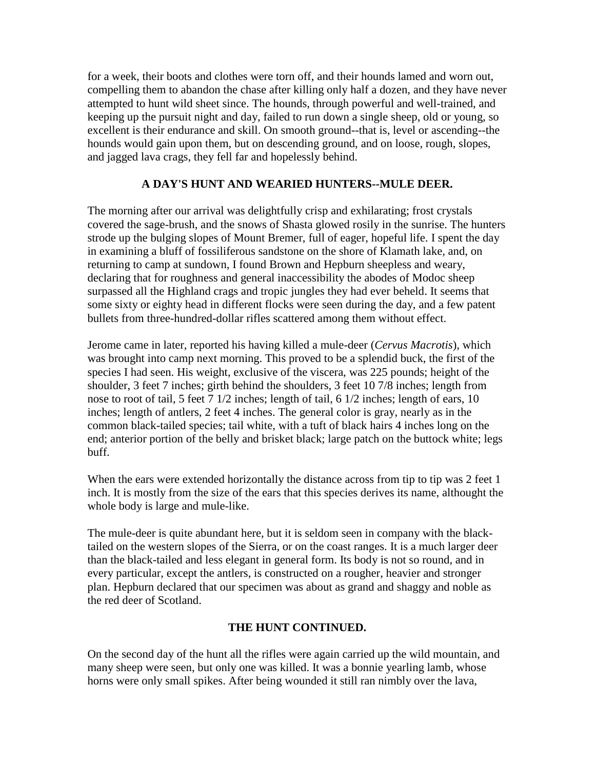for a week, their boots and clothes were torn off, and their hounds lamed and worn out, compelling them to abandon the chase after killing only half a dozen, and they have never attempted to hunt wild sheet since. The hounds, through powerful and well-trained, and keeping up the pursuit night and day, failed to run down a single sheep, old or young, so excellent is their endurance and skill. On smooth ground--that is, level or ascending--the hounds would gain upon them, but on descending ground, and on loose, rough, slopes, and jagged lava crags, they fell far and hopelessly behind.

# **A DAY'S HUNT AND WEARIED HUNTERS--MULE DEER.**

The morning after our arrival was delightfully crisp and exhilarating; frost crystals covered the sage-brush, and the snows of Shasta glowed rosily in the sunrise. The hunters strode up the bulging slopes of Mount Bremer, full of eager, hopeful life. I spent the day in examining a bluff of fossiliferous sandstone on the shore of Klamath lake, and, on returning to camp at sundown, I found Brown and Hepburn sheepless and weary, declaring that for roughness and general inaccessibility the abodes of Modoc sheep surpassed all the Highland crags and tropic jungles they had ever beheld. It seems that some sixty or eighty head in different flocks were seen during the day, and a few patent bullets from three-hundred-dollar rifles scattered among them without effect.

Jerome came in later, reported his having killed a mule-deer (*Cervus Macrotis*), which was brought into camp next morning. This proved to be a splendid buck, the first of the species I had seen. His weight, exclusive of the viscera, was 225 pounds; height of the shoulder, 3 feet 7 inches; girth behind the shoulders, 3 feet 10 7/8 inches; length from nose to root of tail, 5 feet 7 1/2 inches; length of tail, 6 1/2 inches; length of ears, 10 inches; length of antlers, 2 feet 4 inches. The general color is gray, nearly as in the common black-tailed species; tail white, with a tuft of black hairs 4 inches long on the end; anterior portion of the belly and brisket black; large patch on the buttock white; legs buff.

When the ears were extended horizontally the distance across from tip to tip was 2 feet 1 inch. It is mostly from the size of the ears that this species derives its name, althought the whole body is large and mule-like.

The mule-deer is quite abundant here, but it is seldom seen in company with the blacktailed on the western slopes of the Sierra, or on the coast ranges. It is a much larger deer than the black-tailed and less elegant in general form. Its body is not so round, and in every particular, except the antlers, is constructed on a rougher, heavier and stronger plan. Hepburn declared that our specimen was about as grand and shaggy and noble as the red deer of Scotland.

# **THE HUNT CONTINUED.**

On the second day of the hunt all the rifles were again carried up the wild mountain, and many sheep were seen, but only one was killed. It was a bonnie yearling lamb, whose horns were only small spikes. After being wounded it still ran nimbly over the lava,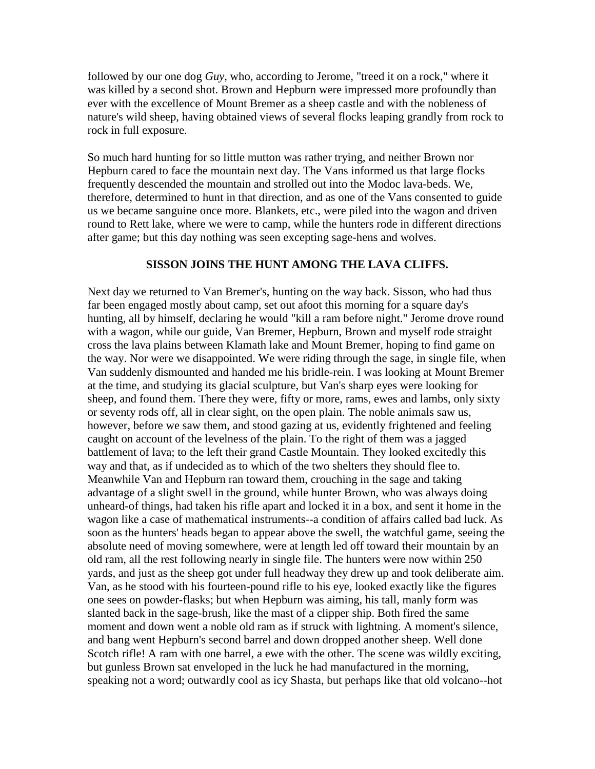followed by our one dog *Guy*, who, according to Jerome, "treed it on a rock," where it was killed by a second shot. Brown and Hepburn were impressed more profoundly than ever with the excellence of Mount Bremer as a sheep castle and with the nobleness of nature's wild sheep, having obtained views of several flocks leaping grandly from rock to rock in full exposure.

So much hard hunting for so little mutton was rather trying, and neither Brown nor Hepburn cared to face the mountain next day. The Vans informed us that large flocks frequently descended the mountain and strolled out into the Modoc lava-beds. We, therefore, determined to hunt in that direction, and as one of the Vans consented to guide us we became sanguine once more. Blankets, etc., were piled into the wagon and driven round to Rett lake, where we were to camp, while the hunters rode in different directions after game; but this day nothing was seen excepting sage-hens and wolves.

## **SISSON JOINS THE HUNT AMONG THE LAVA CLIFFS.**

Next day we returned to Van Bremer's, hunting on the way back. Sisson, who had thus far been engaged mostly about camp, set out afoot this morning for a square day's hunting, all by himself, declaring he would "kill a ram before night." Jerome drove round with a wagon, while our guide, Van Bremer, Hepburn, Brown and myself rode straight cross the lava plains between Klamath lake and Mount Bremer, hoping to find game on the way. Nor were we disappointed. We were riding through the sage, in single file, when Van suddenly dismounted and handed me his bridle-rein. I was looking at Mount Bremer at the time, and studying its glacial sculpture, but Van's sharp eyes were looking for sheep, and found them. There they were, fifty or more, rams, ewes and lambs, only sixty or seventy rods off, all in clear sight, on the open plain. The noble animals saw us, however, before we saw them, and stood gazing at us, evidently frightened and feeling caught on account of the levelness of the plain. To the right of them was a jagged battlement of lava; to the left their grand Castle Mountain. They looked excitedly this way and that, as if undecided as to which of the two shelters they should flee to. Meanwhile Van and Hepburn ran toward them, crouching in the sage and taking advantage of a slight swell in the ground, while hunter Brown, who was always doing unheard-of things, had taken his rifle apart and locked it in a box, and sent it home in the wagon like a case of mathematical instruments--a condition of affairs called bad luck. As soon as the hunters' heads began to appear above the swell, the watchful game, seeing the absolute need of moving somewhere, were at length led off toward their mountain by an old ram, all the rest following nearly in single file. The hunters were now within 250 yards, and just as the sheep got under full headway they drew up and took deliberate aim. Van, as he stood with his fourteen-pound rifle to his eye, looked exactly like the figures one sees on powder-flasks; but when Hepburn was aiming, his tall, manly form was slanted back in the sage-brush, like the mast of a clipper ship. Both fired the same moment and down went a noble old ram as if struck with lightning. A moment's silence, and bang went Hepburn's second barrel and down dropped another sheep. Well done Scotch rifle! A ram with one barrel, a ewe with the other. The scene was wildly exciting, but gunless Brown sat enveloped in the luck he had manufactured in the morning, speaking not a word; outwardly cool as icy Shasta, but perhaps like that old volcano--hot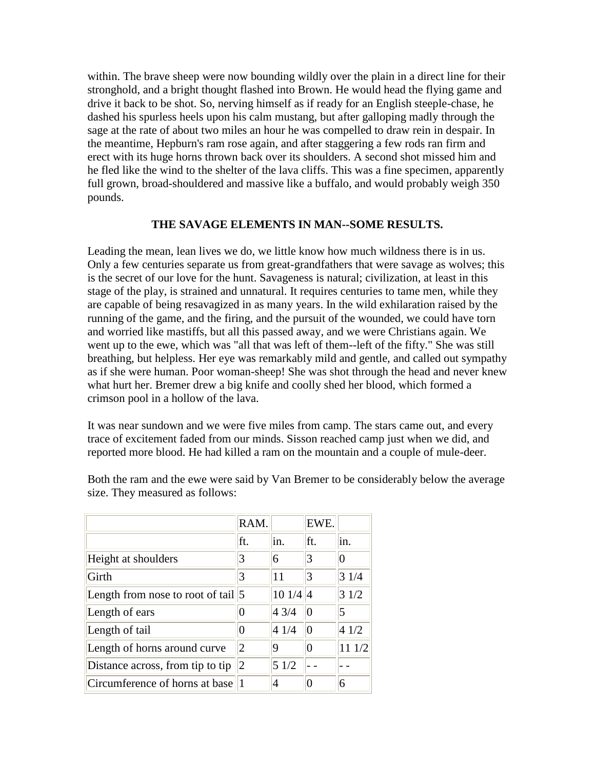within. The brave sheep were now bounding wildly over the plain in a direct line for their stronghold, and a bright thought flashed into Brown. He would head the flying game and drive it back to be shot. So, nerving himself as if ready for an English steeple-chase, he dashed his spurless heels upon his calm mustang, but after galloping madly through the sage at the rate of about two miles an hour he was compelled to draw rein in despair. In the meantime, Hepburn's ram rose again, and after staggering a few rods ran firm and erect with its huge horns thrown back over its shoulders. A second shot missed him and he fled like the wind to the shelter of the lava cliffs. This was a fine specimen, apparently full grown, broad-shouldered and massive like a buffalo, and would probably weigh 350 pounds.

# **THE SAVAGE ELEMENTS IN MAN--SOME RESULTS.**

Leading the mean, lean lives we do, we little know how much wildness there is in us. Only a few centuries separate us from great-grandfathers that were savage as wolves; this is the secret of our love for the hunt. Savageness is natural; civilization, at least in this stage of the play, is strained and unnatural. It requires centuries to tame men, while they are capable of being resavagized in as many years. In the wild exhilaration raised by the running of the game, and the firing, and the pursuit of the wounded, we could have torn and worried like mastiffs, but all this passed away, and we were Christians again. We went up to the ewe, which was "all that was left of them--left of the fifty." She was still breathing, but helpless. Her eye was remarkably mild and gentle, and called out sympathy as if she were human. Poor woman-sheep! She was shot through the head and never knew what hurt her. Bremer drew a big knife and coolly shed her blood, which formed a crimson pool in a hollow of the lava.

It was near sundown and we were five miles from camp. The stars came out, and every trace of excitement faded from our minds. Sisson reached camp just when we did, and reported more blood. He had killed a ram on the mountain and a couple of mule-deer.

|                                     | RAM.          |                     | EWE.          |        |
|-------------------------------------|---------------|---------------------|---------------|--------|
|                                     | lft.          | in.                 | ft.           | lin.   |
| Height at shoulders                 | 3             | 6                   | 3             |        |
| Girth                               | 3             | 11                  | 3             | 31/4   |
| Length from nose to root of tail 5  |               | $10 \frac{1}{4}$  4 |               | 31/2   |
| Length of ears                      |               | 43/4                | Ю             | 5      |
| Length of tail                      |               | 41/4                | 10            | 41/2   |
| Length of horns around curve        | 2             | 9                   | Ю             | 11 1/2 |
| Distance across, from tip to tip    | $\mathbb{I}2$ | 51/2                |               |        |
| Circumference of horns at base $ 1$ |               | 4                   | $\mathcal{O}$ | 6      |

Both the ram and the ewe were said by Van Bremer to be considerably below the average size. They measured as follows: